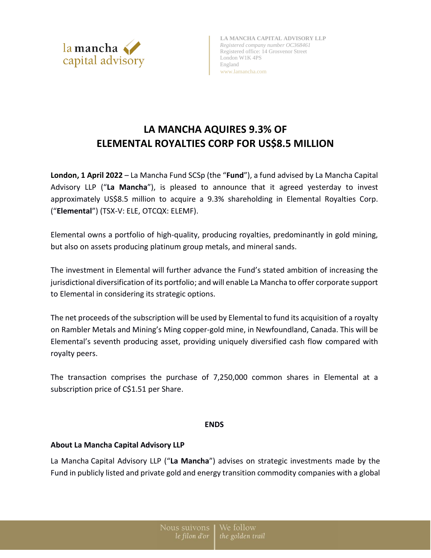

**LA MANCHA CAPITAL ADVISORY LLP** *Registered company number OC368461* Registered office: 14 Grosvenor Street London W1K 4PS England www.lamancha.com

# **LA MANCHA AQUIRES 9.3% OF ELEMENTAL ROYALTIES CORP FOR US\$8.5 MILLION**

**London, 1 April 2022** – La Mancha Fund SCSp (the "**Fund**"), a fund advised by La Mancha Capital Advisory LLP ("**La Mancha**"), is pleased to announce that it agreed yesterday to invest approximately US\$8.5 million to acquire a 9.3% shareholding in Elemental Royalties Corp. ("**Elemental**") (TSX-V: ELE, OTCQX: ELEMF).

Elemental owns a portfolio of high-quality, producing royalties, predominantly in gold mining, but also on assets producing platinum group metals, and mineral sands.

The investment in Elemental will further advance the Fund's stated ambition of increasing the jurisdictional diversification of its portfolio; and will enable La Mancha to offer corporate support to Elemental in considering its strategic options.

The net proceeds of the subscription will be used by Elemental to fund its acquisition of a royalty on Rambler Metals and Mining's Ming copper-gold mine, in Newfoundland, Canada. This will be Elemental's seventh producing asset, providing uniquely diversified cash flow compared with royalty peers.

The transaction comprises the purchase of 7,250,000 common shares in Elemental at a subscription price of C\$1.51 per Share.

# **ENDS**

# **About La Mancha Capital Advisory LLP**

La Mancha Capital Advisory LLP ("**La Mancha**") advises on strategic investments made by the Fund in publicly listed and private gold and energy transition commodity companies with a global